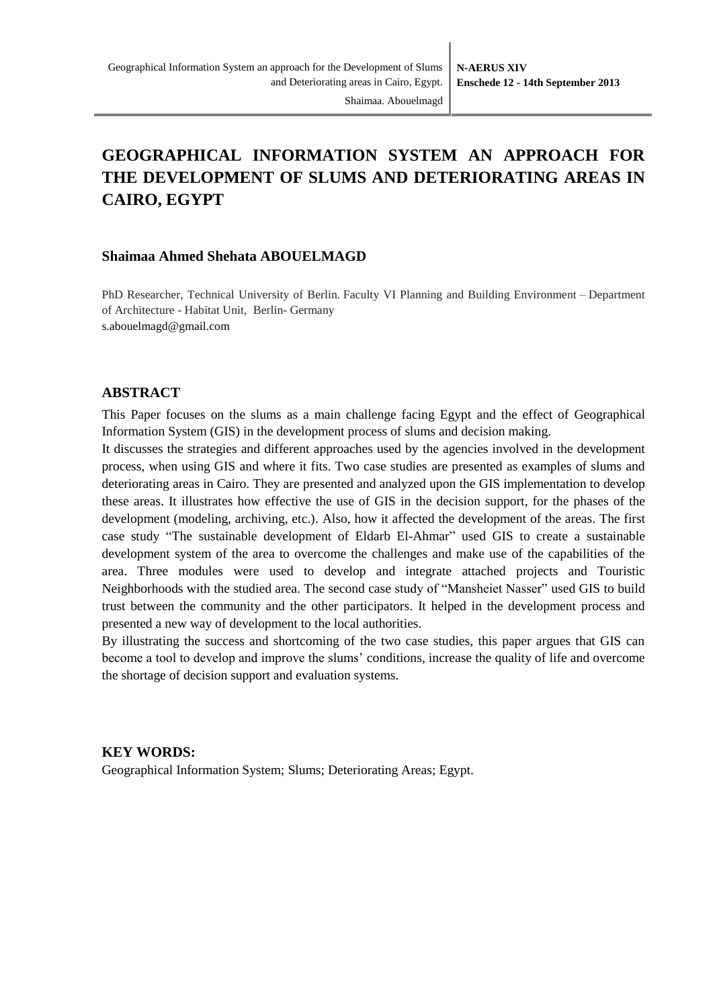# **GEOGRAPHICAL INFORMATION SYSTEM AN APPROACH FOR THE DEVELOPMENT OF SLUMS AND DETERIORATING AREAS IN CAIRO, EGYPT**

#### **Shaimaa Ahmed Shehata ABOUELMAGD**

PhD Researcher, Technical University of Berlin. Faculty VI Planning and Building Environment – Department of Architecture - Habitat Unit, Berlin- Germany s.abouelmagd@gmail.com

#### **ABSTRACT**

This Paper focuses on the slums as a main challenge facing Egypt and the effect of Geographical Information System (GIS) in the development process of slums and decision making.

It discusses the strategies and different approaches used by the agencies involved in the development process, when using GIS and where it fits. Two case studies are presented as examples of slums and deteriorating areas in Cairo. They are presented and analyzed upon the GIS implementation to develop these areas. It illustrates how effective the use of GIS in the decision support, for the phases of the development (modeling, archiving, etc.). Also, how it affected the development of the areas. The first case study "The sustainable development of Eldarb El-Ahmar" used GIS to create a sustainable development system of the area to overcome the challenges and make use of the capabilities of the area. Three modules were used to develop and integrate attached projects and Touristic Neighborhoods with the studied area. The second case study of "Mansheiet Nasser" used GIS to build trust between the community and the other participators. It helped in the development process and presented a new way of development to the local authorities.

By illustrating the success and shortcoming of the two case studies, this paper argues that GIS can become a tool to develop and improve the slums' conditions, increase the quality of life and overcome the shortage of decision support and evaluation systems.

#### **KEY WORDS:**

Geographical Information System; Slums; Deteriorating Areas; Egypt.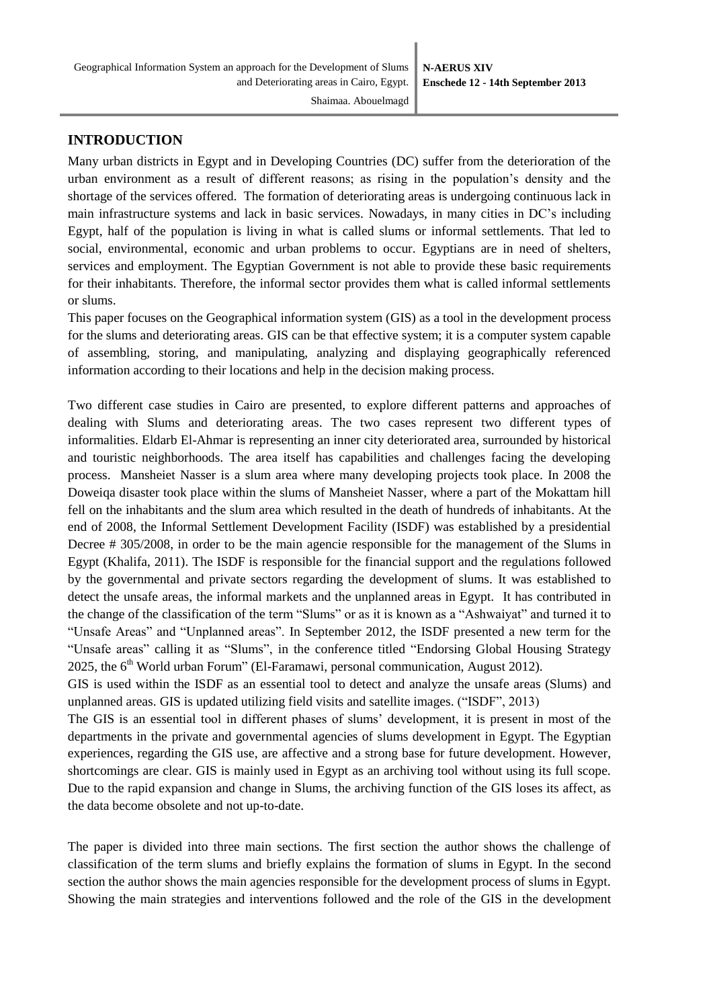## **INTRODUCTION**

Many urban districts in Egypt and in Developing Countries (DC) suffer from the deterioration of the urban environment as a result of different reasons; as rising in the population's density and the shortage of the services offered. The formation of deteriorating areas is undergoing continuous lack in main infrastructure systems and lack in basic services. Nowadays, in many cities in DC's including Egypt, half of the population is living in what is called slums or informal settlements. That led to social, environmental, economic and urban problems to occur. Egyptians are in need of shelters, services and employment. The Egyptian Government is not able to provide these basic requirements for their inhabitants. Therefore, the informal sector provides them what is called informal settlements or slums.

This paper focuses on the Geographical information system (GIS) as a tool in the development process for the slums and deteriorating areas. GIS can be that effective system; it is a computer system capable of assembling, storing, and manipulating, analyzing and displaying geographically referenced information according to their locations and help in the decision making process.

Two different case studies in Cairo are presented, to explore different patterns and approaches of dealing with Slums and deteriorating areas. The two cases represent two different types of informalities. Eldarb El-Ahmar is representing an inner city deteriorated area, surrounded by historical and touristic neighborhoods. The area itself has capabilities and challenges facing the developing process. Mansheiet Nasser is a slum area where many developing projects took place. In 2008 the Doweiqa disaster took place within the slums of Mansheiet Nasser, where a part of the Mokattam hill fell on the inhabitants and the slum area which resulted in the death of hundreds of inhabitants. At the end of 2008, the Informal Settlement Development Facility (ISDF) was established by a presidential Decree # 305/2008, in order to be the main agencie responsible for the management of the Slums in Egypt (Khalifa, 2011). The ISDF is responsible for the financial support and the regulations followed by the governmental and private sectors regarding the development of slums. It was established to detect the unsafe areas, the informal markets and the unplanned areas in Egypt. It has contributed in the change of the classification of the term "Slums" or as it is known as a "Ashwaiyat" and turned it to "Unsafe Areas" and "Unplanned areas". In September 2012, the ISDF presented a new term for the "Unsafe areas" calling it as "Slums", in the conference titled "Endorsing Global Housing Strategy 2025, the  $6<sup>th</sup>$  World urban Forum" (El-Faramawi, personal communication, August 2012).

GIS is used within the ISDF as an essential tool to detect and analyze the unsafe areas (Slums) and unplanned areas. GIS is updated utilizing field visits and satellite images. ("ISDF", 2013)

The GIS is an essential tool in different phases of slums' development, it is present in most of the departments in the private and governmental agencies of slums development in Egypt. The Egyptian experiences, regarding the GIS use, are affective and a strong base for future development. However, shortcomings are clear. GIS is mainly used in Egypt as an archiving tool without using its full scope. Due to the rapid expansion and change in Slums, the archiving function of the GIS loses its affect, as the data become obsolete and not up-to-date.

The paper is divided into three main sections. The first section the author shows the challenge of classification of the term slums and briefly explains the formation of slums in Egypt. In the second section the author shows the main agencies responsible for the development process of slums in Egypt. Showing the main strategies and interventions followed and the role of the GIS in the development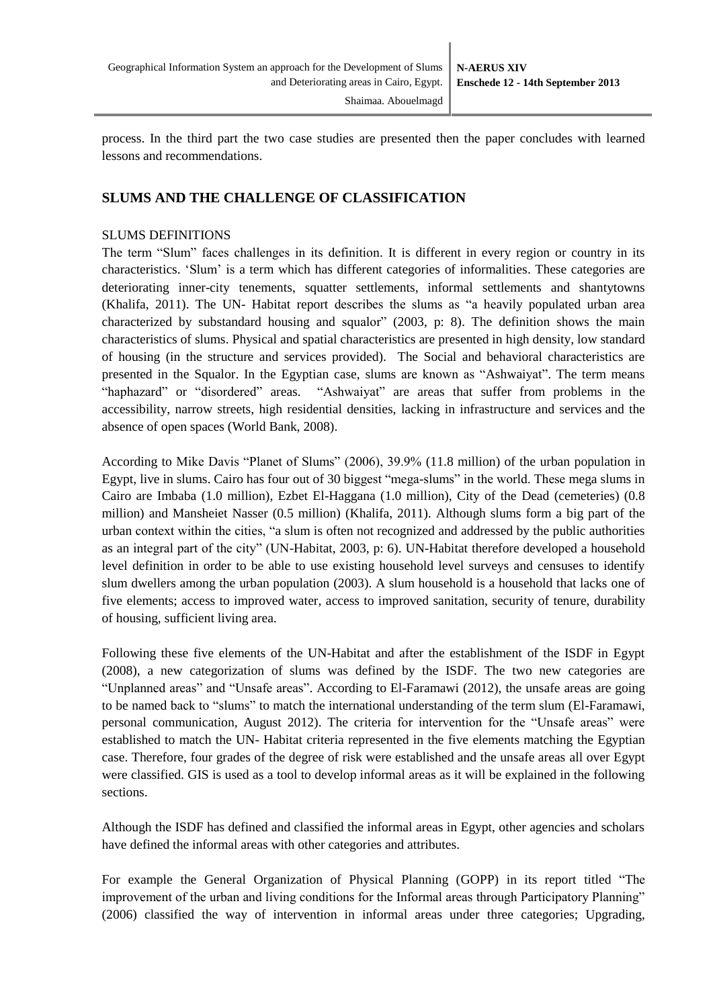process. In the third part the two case studies are presented then the paper concludes with learned lessons and recommendations.

## **SLUMS AND THE CHALLENGE OF CLASSIFICATION**

#### SLUMS DEFINITIONS

The term "Slum" faces challenges in its definition. It is different in every region or country in its characteristics. 'Slum' is a term which has different categories of informalities. These categories are deteriorating inner-city tenements, squatter settlements, informal settlements and shantytowns (Khalifa, 2011). The UN- Habitat report describes the slums as "a heavily populated urban area characterized by substandard housing and squalor" (2003, p: 8). The definition shows the main characteristics of slums. Physical and spatial characteristics are presented in high density, low standard of housing (in the structure and services provided). The Social and behavioral characteristics are presented in the Squalor. In the Egyptian case, slums are known as "Ashwaiyat". The term means "haphazard" or "disordered" areas. "Ashwaiyat" are areas that suffer from problems in the accessibility, narrow streets, high residential densities, lacking in infrastructure and services and the absence of open spaces (World Bank, 2008).

According to Mike Davis "Planet of Slums" (2006), 39.9% (11.8 million) of the urban population in Egypt, live in slums. Cairo has four out of 30 biggest "mega-slums" in the world. These mega slums in Cairo are Imbaba (1.0 million), Ezbet El-Haggana (1.0 million), City of the Dead (cemeteries) (0.8 million) and Mansheiet Nasser (0.5 million) (Khalifa, 2011). Although slums form a big part of the urban context within the cities, "a slum is often not recognized and addressed by the public authorities as an integral part of the city" (UN-Habitat, 2003, p: 6). UN-Habitat therefore developed a household level definition in order to be able to use existing household level surveys and censuses to identify slum dwellers among the urban population (2003). A slum household is a household that lacks one of five elements; access to improved water, access to improved sanitation, security of tenure, durability of housing, sufficient living area.

Following these five elements of the UN-Habitat and after the establishment of the ISDF in Egypt (2008), a new categorization of slums was defined by the ISDF. The two new categories are "Unplanned areas" and "Unsafe areas". According to El-Faramawi (2012), the unsafe areas are going to be named back to "slums" to match the international understanding of the term slum (El-Faramawi, personal communication, August 2012). The criteria for intervention for the "Unsafe areas" were established to match the UN- Habitat criteria represented in the five elements matching the Egyptian case. Therefore, four grades of the degree of risk were established and the unsafe areas all over Egypt were classified. GIS is used as a tool to develop informal areas as it will be explained in the following sections.

Although the ISDF has defined and classified the informal areas in Egypt, other agencies and scholars have defined the informal areas with other categories and attributes.

For example the General Organization of Physical Planning (GOPP) in its report titled "The improvement of the urban and living conditions for the Informal areas through Participatory Planning" (2006) classified the way of intervention in informal areas under three categories; Upgrading,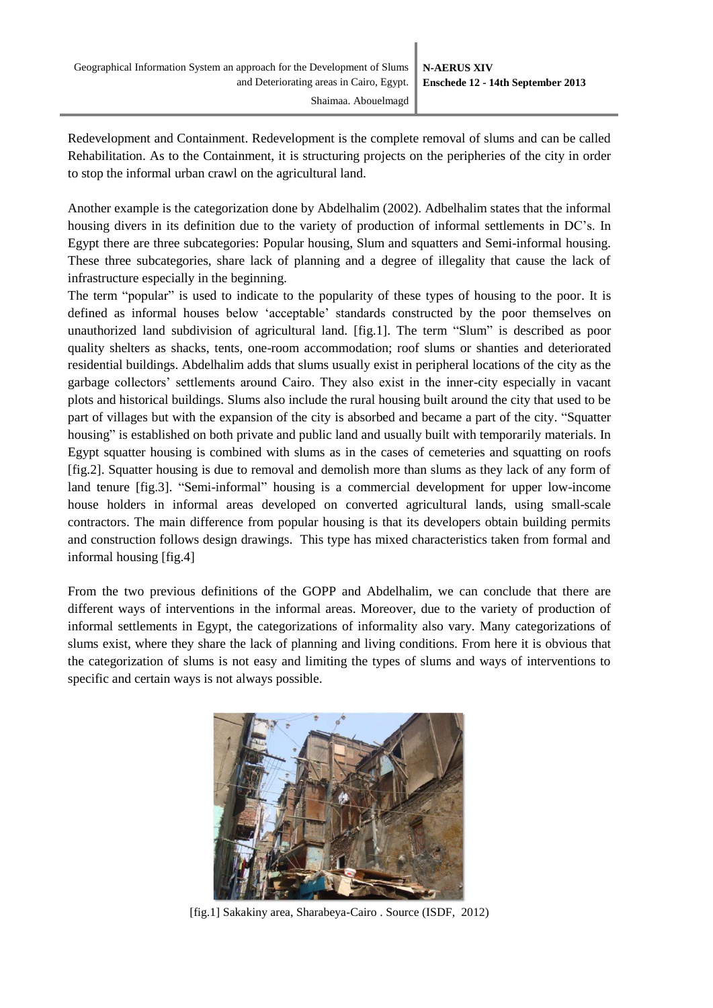Redevelopment and Containment. Redevelopment is the complete removal of slums and can be called Rehabilitation. As to the Containment, it is structuring projects on the peripheries of the city in order to stop the informal urban crawl on the agricultural land.

Another example is the categorization done by Abdelhalim (2002). Adbelhalim states that the informal housing divers in its definition due to the variety of production of informal settlements in DC's. In Egypt there are three subcategories: Popular housing, Slum and squatters and Semi-informal housing. These three subcategories, share lack of planning and a degree of illegality that cause the lack of infrastructure especially in the beginning.

The term "popular" is used to indicate to the popularity of these types of housing to the poor. It is defined as informal houses below 'acceptable' standards constructed by the poor themselves on unauthorized land subdivision of agricultural land. [fig.1]. The term "Slum" is described as poor quality shelters as shacks, tents, one-room accommodation; roof slums or shanties and deteriorated residential buildings. Abdelhalim adds that slums usually exist in peripheral locations of the city as the garbage collectors' settlements around Cairo. They also exist in the inner-city especially in vacant plots and historical buildings. Slums also include the rural housing built around the city that used to be part of villages but with the expansion of the city is absorbed and became a part of the city. "Squatter housing" is established on both private and public land and usually built with temporarily materials. In Egypt squatter housing is combined with slums as in the cases of cemeteries and squatting on roofs [fig.2]. Squatter housing is due to removal and demolish more than slums as they lack of any form of land tenure [fig.3]. "Semi-informal" housing is a commercial development for upper low-income house holders in informal areas developed on converted agricultural lands, using small-scale contractors. The main difference from popular housing is that its developers obtain building permits and construction follows design drawings. This type has mixed characteristics taken from formal and informal housing [fig.4]

From the two previous definitions of the GOPP and Abdelhalim, we can conclude that there are different ways of interventions in the informal areas. Moreover, due to the variety of production of informal settlements in Egypt, the categorizations of informality also vary. Many categorizations of slums exist, where they share the lack of planning and living conditions. From here it is obvious that the categorization of slums is not easy and limiting the types of slums and ways of interventions to specific and certain ways is not always possible.



[fig.1] Sakakiny area, Sharabeya-Cairo . Source (ISDF, 2012)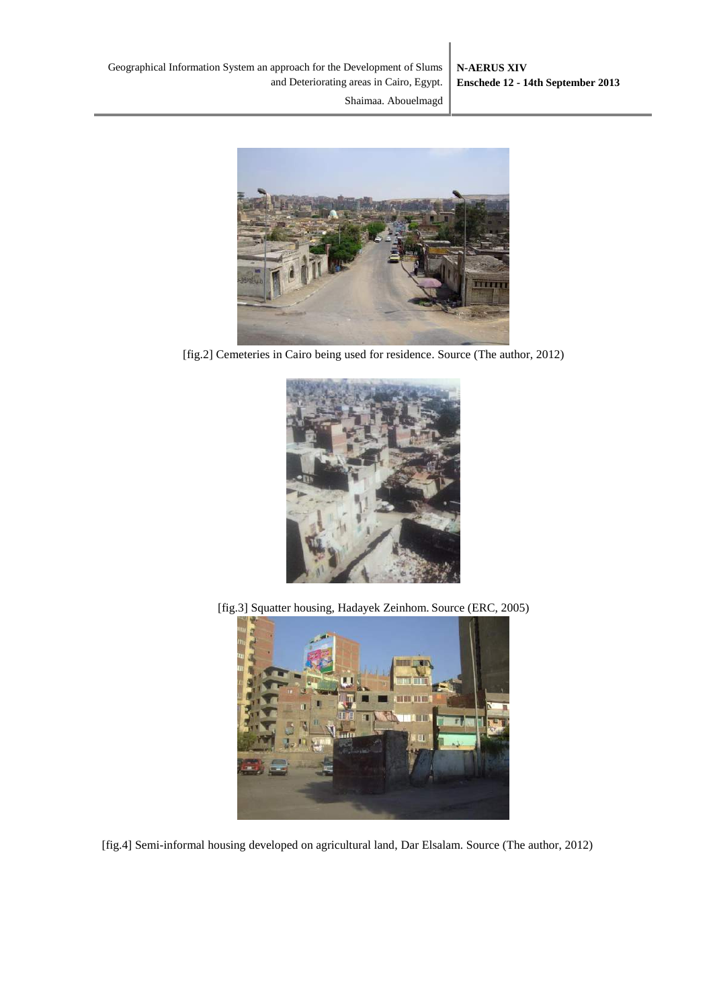

[fig.2] Cemeteries in Cairo being used for residence. Source (The author, 2012)



[fig.3] Squatter housing, Hadayek Zeinhom. Source (ERC, 2005)



[fig.4] Semi-informal housing developed on agricultural land, Dar Elsalam. Source (The author, 2012)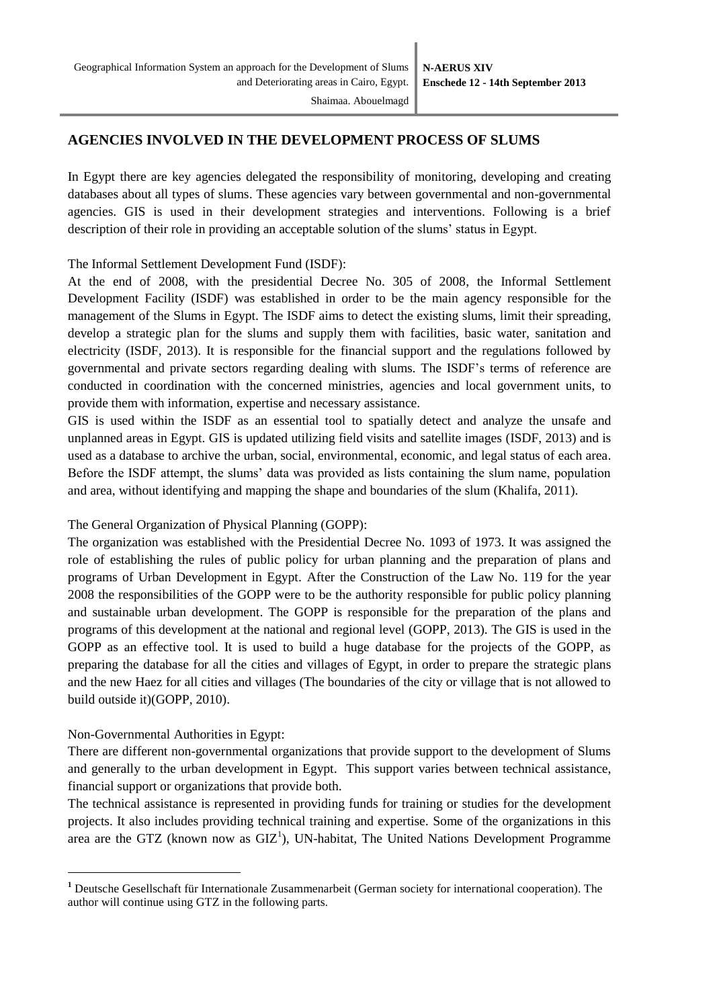# **AGENCIES INVOLVED IN THE DEVELOPMENT PROCESS OF SLUMS**

In Egypt there are key agencies delegated the responsibility of monitoring, developing and creating databases about all types of slums. These agencies vary between governmental and non-governmental agencies. GIS is used in their development strategies and interventions. Following is a brief description of their role in providing an acceptable solution of the slums' status in Egypt.

The Informal Settlement Development Fund (ISDF):

At the end of 2008, with the presidential Decree No. 305 of 2008, the Informal Settlement Development Facility (ISDF) was established in order to be the main agency responsible for the management of the Slums in Egypt. The ISDF aims to detect the existing slums, limit their spreading, develop a strategic plan for the slums and supply them with facilities, basic water, sanitation and electricity (ISDF, 2013). It is responsible for the financial support and the regulations followed by governmental and private sectors regarding dealing with slums. The ISDF's terms of reference are conducted in coordination with the concerned ministries, agencies and local government units, to provide them with information, expertise and necessary assistance.

GIS is used within the ISDF as an essential tool to spatially detect and analyze the unsafe and unplanned areas in Egypt. GIS is updated utilizing field visits and satellite images (ISDF, 2013) and is used as a database to archive the urban, social, environmental, economic, and legal status of each area. Before the ISDF attempt, the slums' data was provided as lists containing the slum name, population and area, without identifying and mapping the shape and boundaries of the slum (Khalifa, 2011).

The General Organization of Physical Planning (GOPP):

The organization was established with the Presidential Decree No. 1093 of 1973. It was assigned the role of establishing the rules of public policy for urban planning and the preparation of plans and programs of Urban Development in Egypt. After the Construction of the Law No. 119 for the year 2008 the responsibilities of the GOPP were to be the authority responsible for public policy planning and sustainable urban development. The GOPP is responsible for the preparation of the plans and programs of this development at the national and regional level (GOPP, 2013). The GIS is used in the GOPP as an effective tool. It is used to build a huge database for the projects of the GOPP, as preparing the database for all the cities and villages of Egypt, in order to prepare the strategic plans and the new Haez for all cities and villages (The boundaries of the city or village that is not allowed to build outside it)(GOPP, 2010).

## Non-Governmental Authorities in Egypt:

-

There are different non-governmental organizations that provide support to the development of Slums and generally to the urban development in Egypt. This support varies between technical assistance, financial support or organizations that provide both.

The technical assistance is represented in providing funds for training or studies for the development projects. It also includes providing technical training and expertise. Some of the organizations in this area are the GTZ (known now as  $GLZ<sup>1</sup>$ ), UN-habitat, The United Nations Development Programme

**<sup>1</sup>** Deutsche [Gesellschaft für Internationale Zusammenarbeit](http://www.giz.de/en/) (German society for international cooperation). The author will continue using GTZ in the following parts.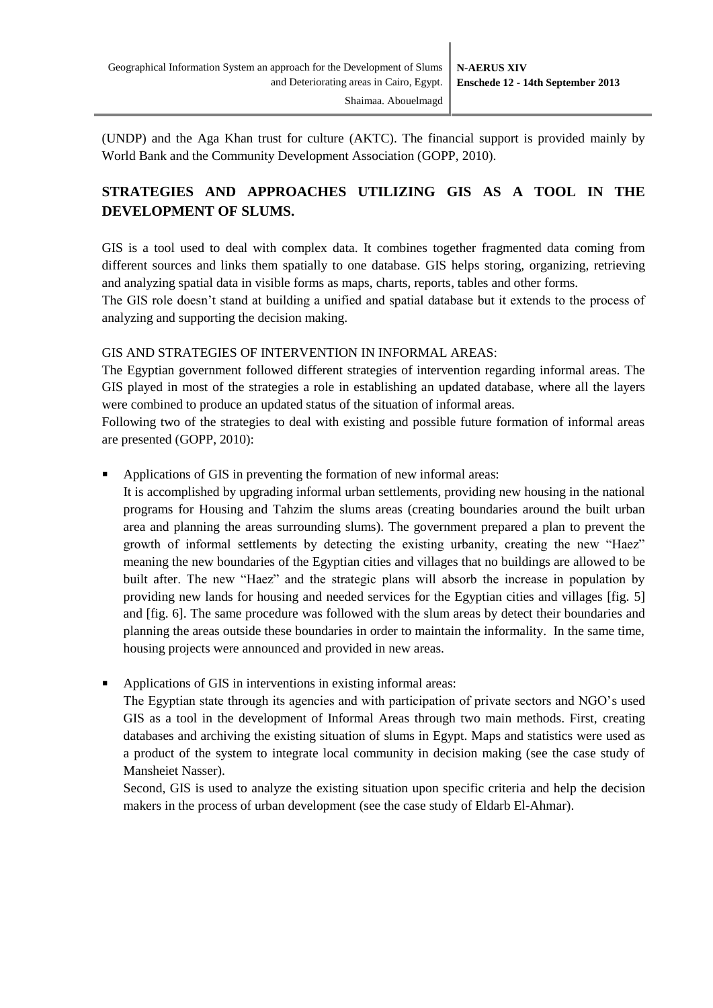(UNDP) and the Aga Khan trust for culture (AKTC). The financial support is provided mainly by World Bank and the Community Development Association (GOPP, 2010).

# **STRATEGIES AND APPROACHES UTILIZING GIS AS A TOOL IN THE DEVELOPMENT OF SLUMS.**

GIS is a tool used to deal with complex data. It combines together fragmented data coming from different sources and links them spatially to one database. GIS helps storing, organizing, retrieving and analyzing spatial data in visible forms as maps, charts, reports, tables and other forms.

The GIS role doesn't stand at building a unified and spatial database but it extends to the process of analyzing and supporting the decision making.

#### GIS AND STRATEGIES OF INTERVENTION IN INFORMAL AREAS:

The Egyptian government followed different strategies of intervention regarding informal areas. The GIS played in most of the strategies a role in establishing an updated database, where all the layers were combined to produce an updated status of the situation of informal areas.

Following two of the strategies to deal with existing and possible future formation of informal areas are presented (GOPP, 2010):

Applications of GIS in preventing the formation of new informal areas:

It is accomplished by upgrading informal urban settlements, providing new housing in the national programs for Housing and Tahzim the slums areas (creating boundaries around the built urban area and planning the areas surrounding slums). The government prepared a plan to prevent the growth of informal settlements by detecting the existing urbanity, creating the new "Haez" meaning the new boundaries of the Egyptian cities and villages that no buildings are allowed to be built after. The new "Haez" and the strategic plans will absorb the increase in population by providing new lands for housing and needed services for the Egyptian cities and villages [fig. 5] and [fig. 6]. The same procedure was followed with the slum areas by detect their boundaries and planning the areas outside these boundaries in order to maintain the informality. In the same time, housing projects were announced and provided in new areas.

Applications of GIS in interventions in existing informal areas:

The Egyptian state through its agencies and with participation of private sectors and NGO's used GIS as a tool in the development of Informal Areas through two main methods. First, creating databases and archiving the existing situation of slums in Egypt. Maps and statistics were used as a product of the system to integrate local community in decision making (see the case study of Mansheiet Nasser).

Second, GIS is used to analyze the existing situation upon specific criteria and help the decision makers in the process of urban development (see the case study of Eldarb El-Ahmar).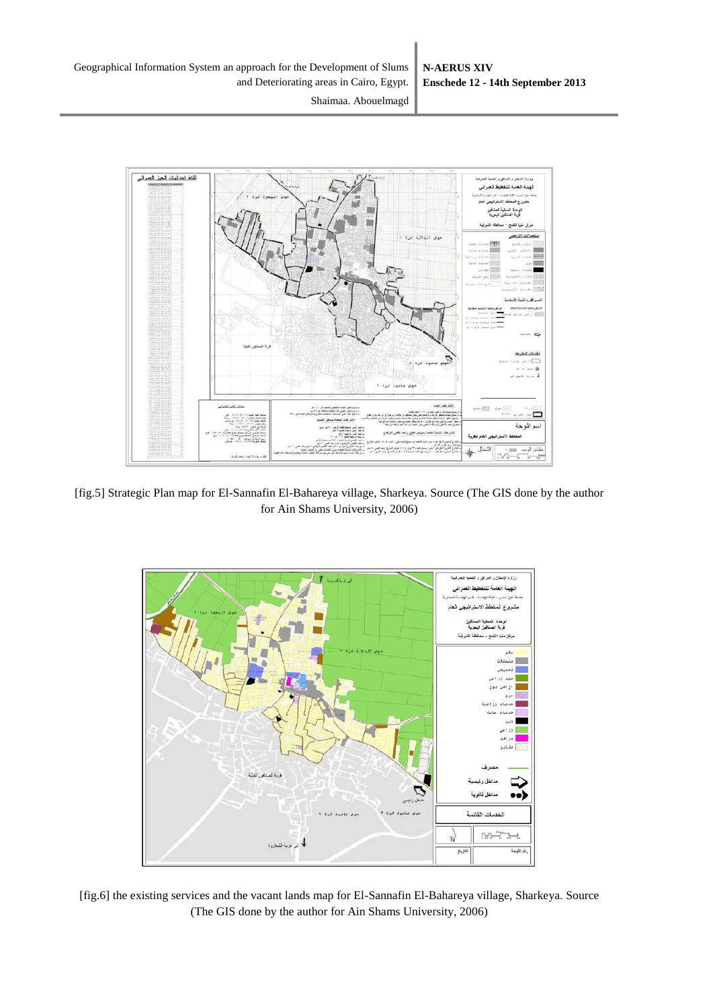



[fig.5] Strategic Plan map for El-Sannafin El-Bahareya village, Sharkeya. Source (The GIS done by the author for Ain Shams University, 2006)



[fig.6] the existing services and the vacant lands map for El-Sannafin El-Bahareya village, Sharkeya. Source (The GIS done by the author for Ain Shams University, 2006)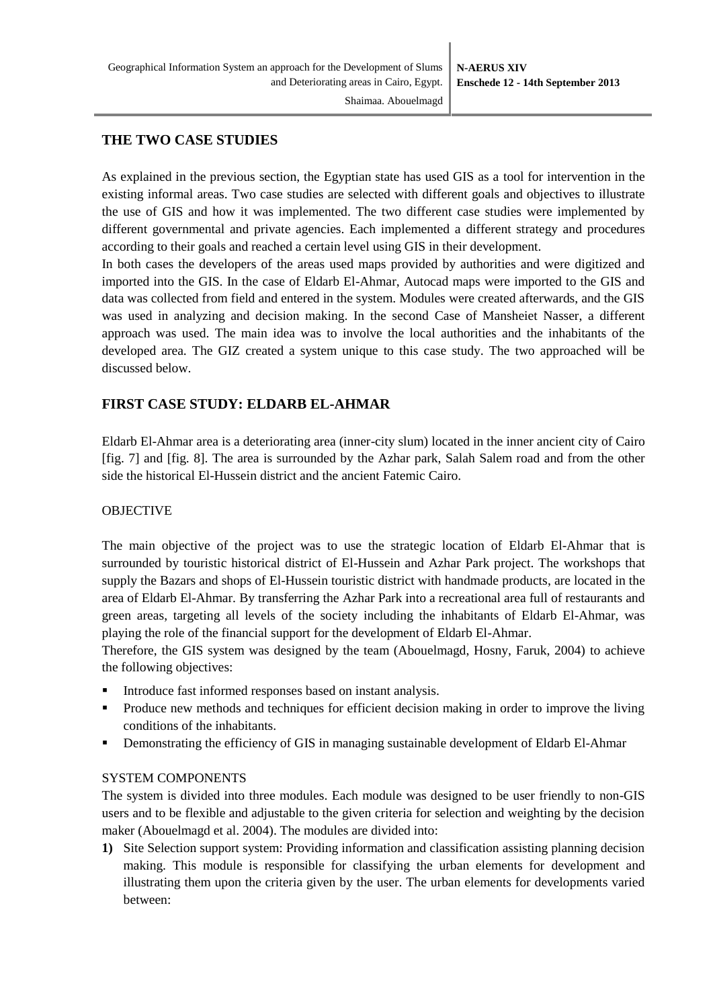### **THE TWO CASE STUDIES**

As explained in the previous section, the Egyptian state has used GIS as a tool for intervention in the existing informal areas. Two case studies are selected with different goals and objectives to illustrate the use of GIS and how it was implemented. The two different case studies were implemented by different governmental and private agencies. Each implemented a different strategy and procedures according to their goals and reached a certain level using GIS in their development.

In both cases the developers of the areas used maps provided by authorities and were digitized and imported into the GIS. In the case of Eldarb El-Ahmar, Autocad maps were imported to the GIS and data was collected from field and entered in the system. Modules were created afterwards, and the GIS was used in analyzing and decision making. In the second Case of Mansheiet Nasser, a different approach was used. The main idea was to involve the local authorities and the inhabitants of the developed area. The GIZ created a system unique to this case study. The two approached will be discussed below.

# **FIRST CASE STUDY: ELDARB EL-AHMAR**

Eldarb El-Ahmar area is a deteriorating area (inner-city slum) located in the inner ancient city of Cairo [fig. 7] and [fig. 8]. The area is surrounded by the Azhar park, Salah Salem road and from the other side the historical El-Hussein district and the ancient Fatemic Cairo.

### OBJECTIVE

The main objective of the project was to use the strategic location of Eldarb El-Ahmar that is surrounded by touristic historical district of El-Hussein and Azhar Park project. The workshops that supply the Bazars and shops of El-Hussein touristic district with handmade products, are located in the area of Eldarb El-Ahmar. By transferring the Azhar Park into a recreational area full of restaurants and green areas, targeting all levels of the society including the inhabitants of Eldarb El-Ahmar, was playing the role of the financial support for the development of Eldarb El-Ahmar.

Therefore, the GIS system was designed by the team (Abouelmagd, Hosny, Faruk, 2004) to achieve the following objectives:

- Introduce fast informed responses based on instant analysis.
- Produce new methods and techniques for efficient decision making in order to improve the living conditions of the inhabitants.
- **•** Demonstrating the efficiency of GIS in managing sustainable development of Eldarb El-Ahmar

#### SYSTEM COMPONENTS

The system is divided into three modules. Each module was designed to be user friendly to non-GIS users and to be flexible and adjustable to the given criteria for selection and weighting by the decision maker (Abouelmagd et al. 2004). The modules are divided into:

**1)** Site Selection support system: Providing information and classification assisting planning decision making. This module is responsible for classifying the urban elements for development and illustrating them upon the criteria given by the user. The urban elements for developments varied between: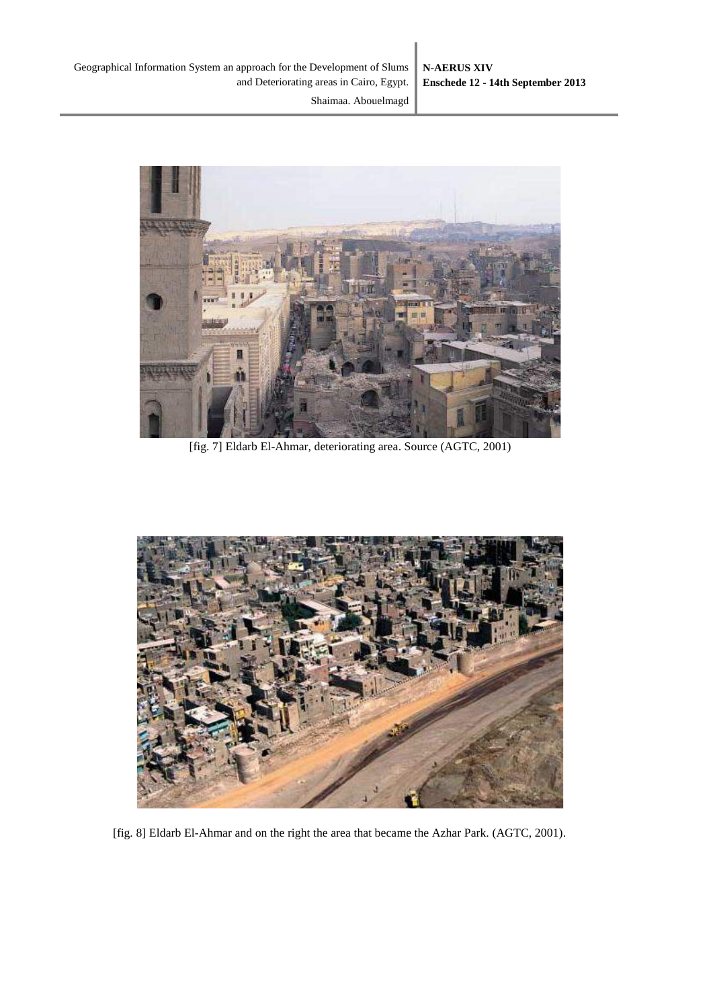

[fig. 7] Eldarb El-Ahmar, deteriorating area. Source (AGTC, 2001)



[fig. 8] Eldarb El-Ahmar and on the right the area that became the Azhar Park. (AGTC, 2001).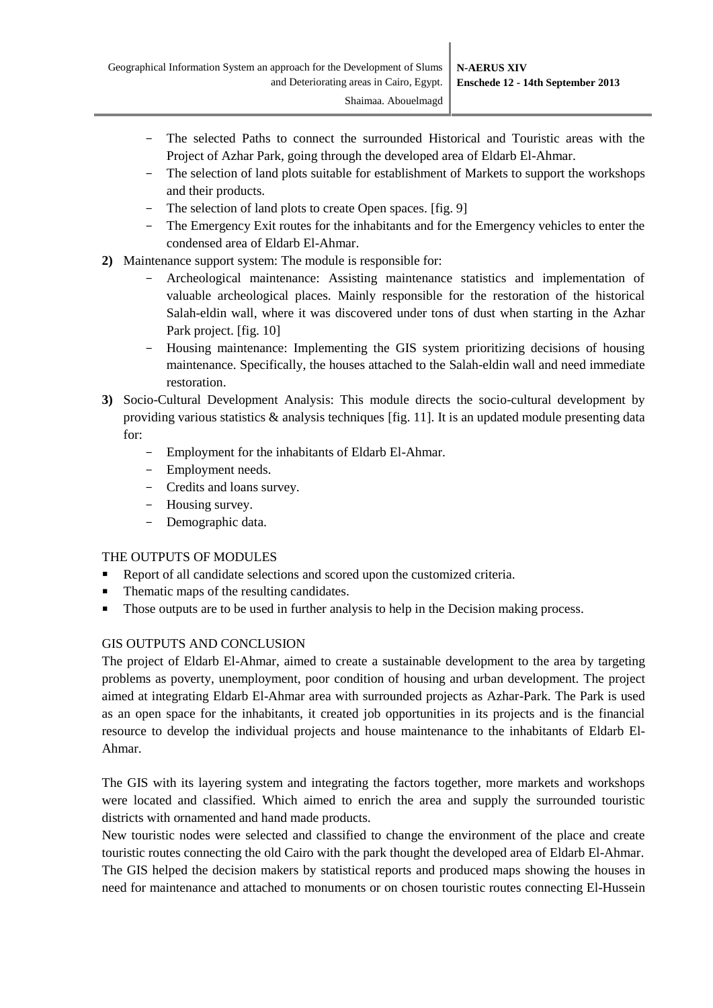- The selected Paths to connect the surrounded Historical and Touristic areas with the Project of Azhar Park, going through the developed area of Eldarb El-Ahmar.
- The selection of land plots suitable for establishment of Markets to support the workshops and their products.
- The selection of land plots to create Open spaces. [fig. 9]
- The Emergency Exit routes for the inhabitants and for the Emergency vehicles to enter the condensed area of Eldarb El-Ahmar.
- **2)** Maintenance support system: The module is responsible for:
	- Archeological maintenance: Assisting maintenance statistics and implementation of valuable archeological places. Mainly responsible for the restoration of the historical Salah-eldin wall, where it was discovered under tons of dust when starting in the Azhar Park project. [fig. 10]
	- Housing maintenance: Implementing the GIS system prioritizing decisions of housing maintenance. Specifically, the houses attached to the Salah-eldin wall and need immediate restoration.
- **3)** Socio-Cultural Development Analysis: This module directs the socio-cultural development by providing various statistics & analysis techniques [fig. 11]. It is an updated module presenting data for:
	- Employment for the inhabitants of Eldarb El-Ahmar.
	- Employment needs.
	- Credits and loans survey.
	- Housing survey.
	- Demographic data.

#### THE OUTPUTS OF MODULES

- Report of all candidate selections and scored upon the customized criteria.
- Thematic maps of the resulting candidates.
- Those outputs are to be used in further analysis to help in the Decision making process.

#### GIS OUTPUTS AND CONCLUSION

The project of Eldarb El-Ahmar, aimed to create a sustainable development to the area by targeting problems as poverty, unemployment, poor condition of housing and urban development. The project aimed at integrating Eldarb El-Ahmar area with surrounded projects as Azhar-Park. The Park is used as an open space for the inhabitants, it created job opportunities in its projects and is the financial resource to develop the individual projects and house maintenance to the inhabitants of Eldarb El-Ahmar.

The GIS with its layering system and integrating the factors together, more markets and workshops were located and classified. Which aimed to enrich the area and supply the surrounded touristic districts with ornamented and hand made products.

New touristic nodes were selected and classified to change the environment of the place and create touristic routes connecting the old Cairo with the park thought the developed area of Eldarb El-Ahmar. The GIS helped the decision makers by statistical reports and produced maps showing the houses in need for maintenance and attached to monuments or on chosen touristic routes connecting El-Hussein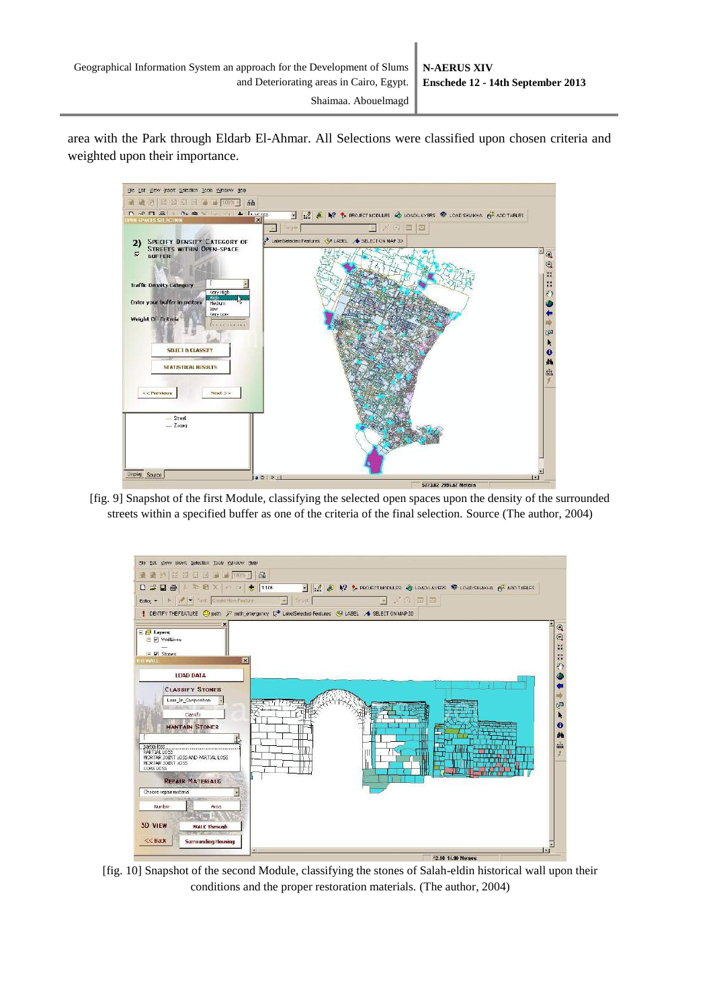area with the Park through Eldarb El-Ahmar. All Selections were classified upon chosen criteria and weighted upon their importance.



[fig. 9] Snapshot of the first Module, classifying the selected open spaces upon the density of the surrounded streets within a specified buffer as one of the criteria of the final selection. Source (The author, 2004)



[fig. 10] Snapshot of the second Module, classifying the stones of Salah-eldin historical wall upon their conditions and the proper restoration materials. (The author, 2004)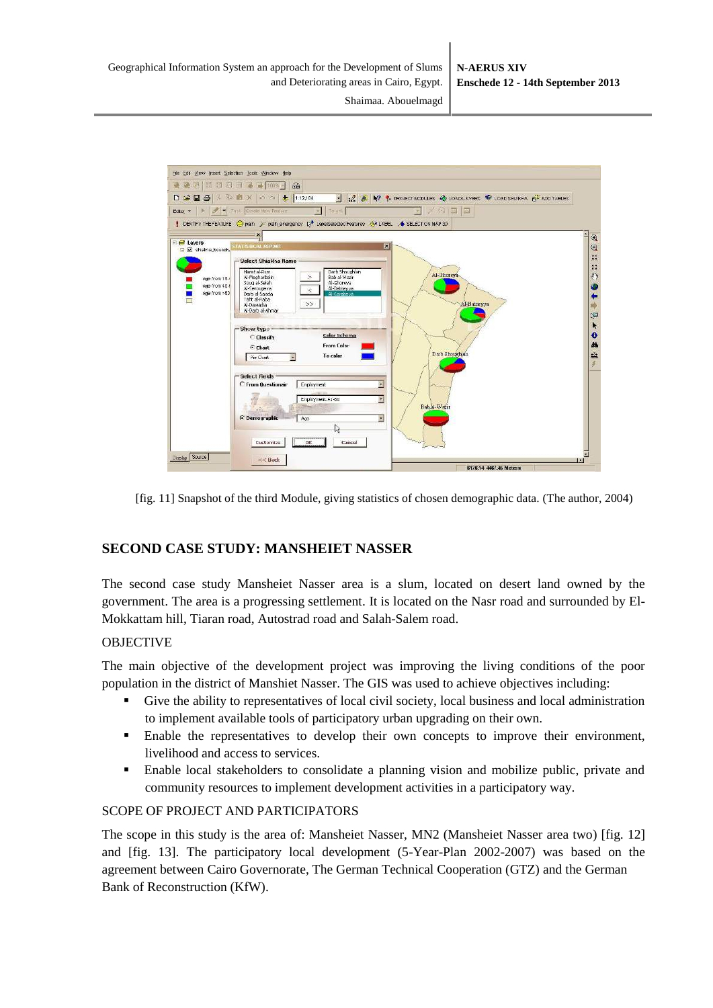

[fig. 11] Snapshot of the third Module, giving statistics of chosen demographic data. (The author, 2004)

# **SECOND CASE STUDY: MANSHEIET NASSER**

The second case study Mansheiet Nasser area is a slum, located on desert land owned by the government. The area is a progressing settlement. It is located on the Nasr road and surrounded by El-Mokkattam hill, Tiaran road, Autostrad road and Salah-Salem road.

#### OBJECTIVE

The main objective of the development project was improving the living conditions of the poor population in the district of Manshiet Nasser. The GIS was used to achieve objectives including:

- Give the ability to representatives of local civil society, local business and local administration to implement available tools of participatory urban upgrading on their own.
- Enable the representatives to develop their own concepts to improve their environment, livelihood and access to services.
- Enable local stakeholders to consolidate a planning vision and mobilize public, private and community resources to implement development activities in a participatory way.

#### SCOPE OF PROJECT AND PARTICIPATORS

The scope in this study is the area of: Mansheiet Nasser, MN2 (Mansheiet Nasser area two) [fig. 12] and [fig. 13]. The participatory local development (5-Year-Plan 2002-2007) was based on the agreement between Cairo Governorate, The German Technical Cooperation (GTZ) and the German Bank of Reconstruction (KfW).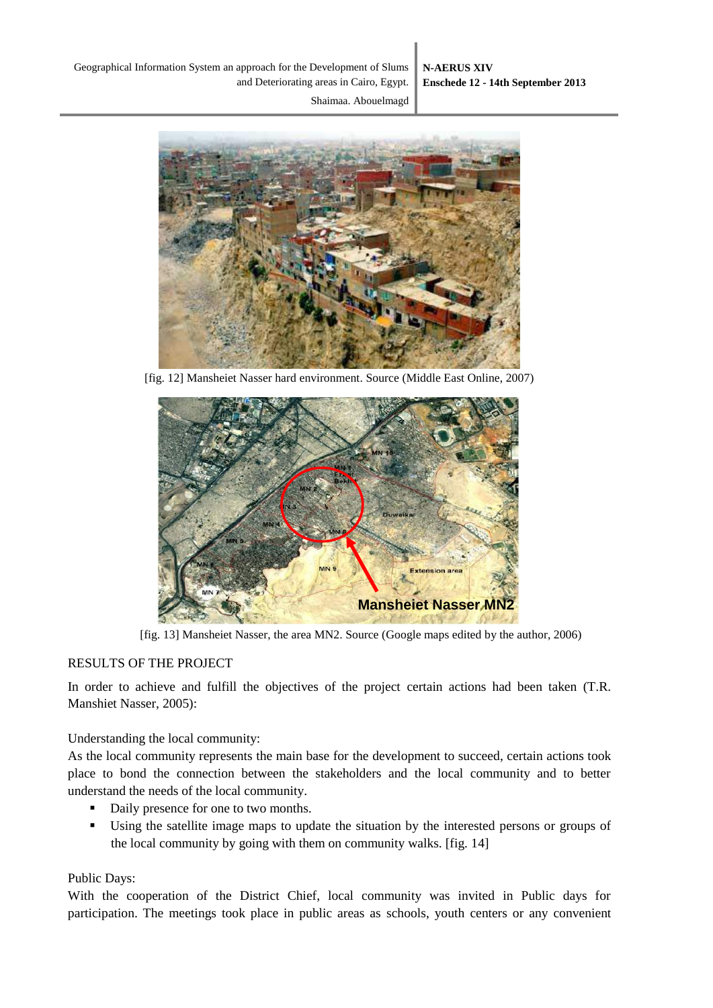

[fig. 12] Mansheiet Nasser hard environment. Source (Middle East Online, 2007)



[fig. 13] Mansheiet Nasser, the area MN2. Source (Google maps edited by the author, 2006)

### RESULTS OF THE PROJECT

In order to achieve and fulfill the objectives of the project certain actions had been taken (T.R. Manshiet Nasser, 2005):

Understanding the local community:

As the local community represents the main base for the development to succeed, certain actions took place to bond the connection between the stakeholders and the local community and to better understand the needs of the local community.

- Daily presence for one to two months.
- Using the satellite image maps to update the situation by the interested persons or groups of the local community by going with them on community walks. [fig. 14]

#### Public Days:

With the cooperation of the District Chief, local community was invited in Public days for participation. The meetings took place in public areas as schools, youth centers or any convenient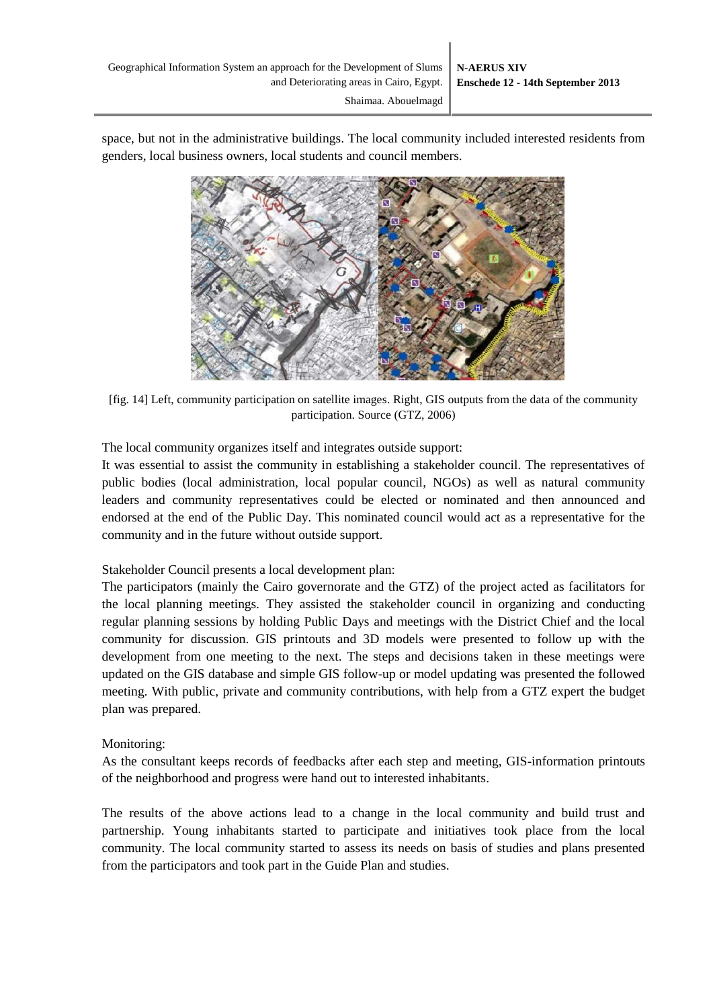space, but not in the administrative buildings. The local community included interested residents from genders, local business owners, local students and council members.



[fig. 14] Left, community participation on satellite images. Right, GIS outputs from the data of the community participation. Source (GTZ, 2006)

The local community organizes itself and integrates outside support:

It was essential to assist the community in establishing a stakeholder council. The representatives of public bodies (local administration, local popular council, NGOs) as well as natural community leaders and community representatives could be elected or nominated and then announced and endorsed at the end of the Public Day. This nominated council would act as a representative for the community and in the future without outside support.

Stakeholder Council presents a local development plan:

The participators (mainly the Cairo governorate and the GTZ) of the project acted as facilitators for the local planning meetings. They assisted the stakeholder council in organizing and conducting regular planning sessions by holding Public Days and meetings with the District Chief and the local community for discussion. GIS printouts and 3D models were presented to follow up with the development from one meeting to the next. The steps and decisions taken in these meetings were updated on the GIS database and simple GIS follow-up or model updating was presented the followed meeting. With public, private and community contributions, with help from a GTZ expert the budget plan was prepared.

#### Monitoring:

As the consultant keeps records of feedbacks after each step and meeting, GIS-information printouts of the neighborhood and progress were hand out to interested inhabitants.

The results of the above actions lead to a change in the local community and build trust and partnership. Young inhabitants started to participate and initiatives took place from the local community. The local community started to assess its needs on basis of studies and plans presented from the participators and took part in the Guide Plan and studies.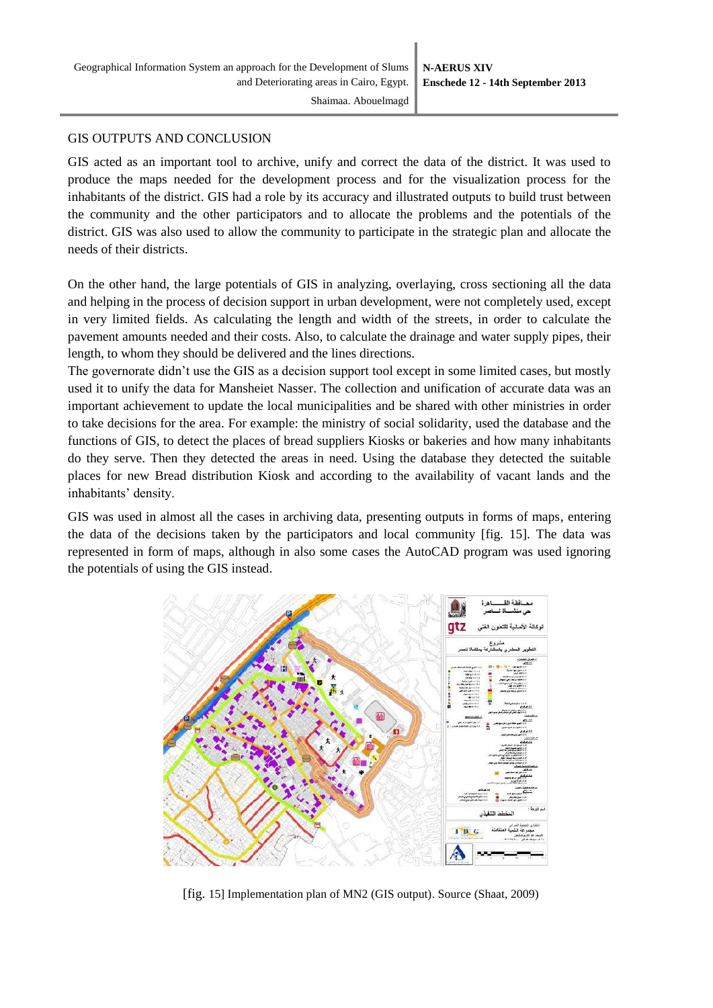#### GIS OUTPUTS AND CONCLUSION

GIS acted as an important tool to archive, unify and correct the data of the district. It was used to produce the maps needed for the development process and for the visualization process for the inhabitants of the district. GIS had a role by its accuracy and illustrated outputs to build trust between the community and the other participators and to allocate the problems and the potentials of the district. GIS was also used to allow the community to participate in the strategic plan and allocate the needs of their districts.

On the other hand, the large potentials of GIS in analyzing, overlaying, cross sectioning all the data and helping in the process of decision support in urban development, were not completely used, except in very limited fields. As calculating the length and width of the streets, in order to calculate the pavement amounts needed and their costs. Also, to calculate the drainage and water supply pipes, their length, to whom they should be delivered and the lines directions.

The governorate didn't use the GIS as a decision support tool except in some limited cases, but mostly used it to unify the data for Mansheiet Nasser. The collection and unification of accurate data was an important achievement to update the local municipalities and be shared with other ministries in order to take decisions for the area. For example: the ministry of social solidarity, used the database and the functions of GIS, to detect the places of bread suppliers Kiosks or bakeries and how many inhabitants do they serve. Then they detected the areas in need. Using the database they detected the suitable places for new Bread distribution Kiosk and according to the availability of vacant lands and the inhabitants' density.

GIS was used in almost all the cases in archiving data, presenting outputs in forms of maps, entering the data of the decisions taken by the participators and local community [fig. 15]. The data was represented in form of maps, although in also some cases the AutoCAD program was used ignoring the potentials of using the GIS instead.



[fig. 15] Implementation plan of MN2 (GIS output). Source (Shaat, 2009)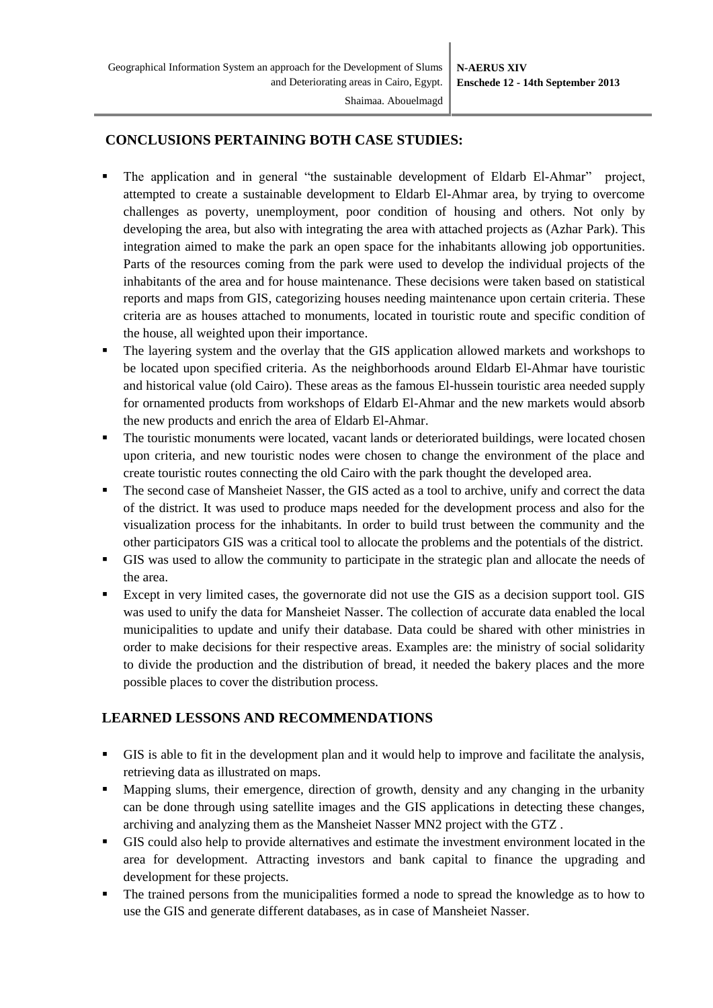## **CONCLUSIONS PERTAINING BOTH CASE STUDIES:**

- The application and in general "the sustainable development of Eldarb El-Ahmar" project, attempted to create a sustainable development to Eldarb El-Ahmar area, by trying to overcome challenges as poverty, unemployment, poor condition of housing and others. Not only by developing the area, but also with integrating the area with attached projects as (Azhar Park). This integration aimed to make the park an open space for the inhabitants allowing job opportunities. Parts of the resources coming from the park were used to develop the individual projects of the inhabitants of the area and for house maintenance. These decisions were taken based on statistical reports and maps from GIS, categorizing houses needing maintenance upon certain criteria. These criteria are as houses attached to monuments, located in touristic route and specific condition of the house, all weighted upon their importance.
- The layering system and the overlay that the GIS application allowed markets and workshops to be located upon specified criteria. As the neighborhoods around Eldarb El-Ahmar have touristic and historical value (old Cairo). These areas as the famous El-hussein touristic area needed supply for ornamented products from workshops of Eldarb El-Ahmar and the new markets would absorb the new products and enrich the area of Eldarb El-Ahmar.
- The touristic monuments were located, vacant lands or deteriorated buildings, were located chosen upon criteria, and new touristic nodes were chosen to change the environment of the place and create touristic routes connecting the old Cairo with the park thought the developed area.
- The second case of Mansheiet Nasser, the GIS acted as a tool to archive, unify and correct the data of the district. It was used to produce maps needed for the development process and also for the visualization process for the inhabitants. In order to build trust between the community and the other participators GIS was a critical tool to allocate the problems and the potentials of the district.
- GIS was used to allow the community to participate in the strategic plan and allocate the needs of the area.
- Except in very limited cases, the governorate did not use the GIS as a decision support tool. GIS was used to unify the data for Mansheiet Nasser. The collection of accurate data enabled the local municipalities to update and unify their database. Data could be shared with other ministries in order to make decisions for their respective areas. Examples are: the ministry of social solidarity to divide the production and the distribution of bread, it needed the bakery places and the more possible places to cover the distribution process.

# **LEARNED LESSONS AND RECOMMENDATIONS**

- GIS is able to fit in the development plan and it would help to improve and facilitate the analysis, retrieving data as illustrated on maps.
- Mapping slums, their emergence, direction of growth, density and any changing in the urbanity can be done through using satellite images and the GIS applications in detecting these changes, archiving and analyzing them as the Mansheiet Nasser MN2 project with the GTZ .
- GIS could also help to provide alternatives and estimate the investment environment located in the area for development. Attracting investors and bank capital to finance the upgrading and development for these projects.
- The trained persons from the municipalities formed a node to spread the knowledge as to how to use the GIS and generate different databases, as in case of Mansheiet Nasser.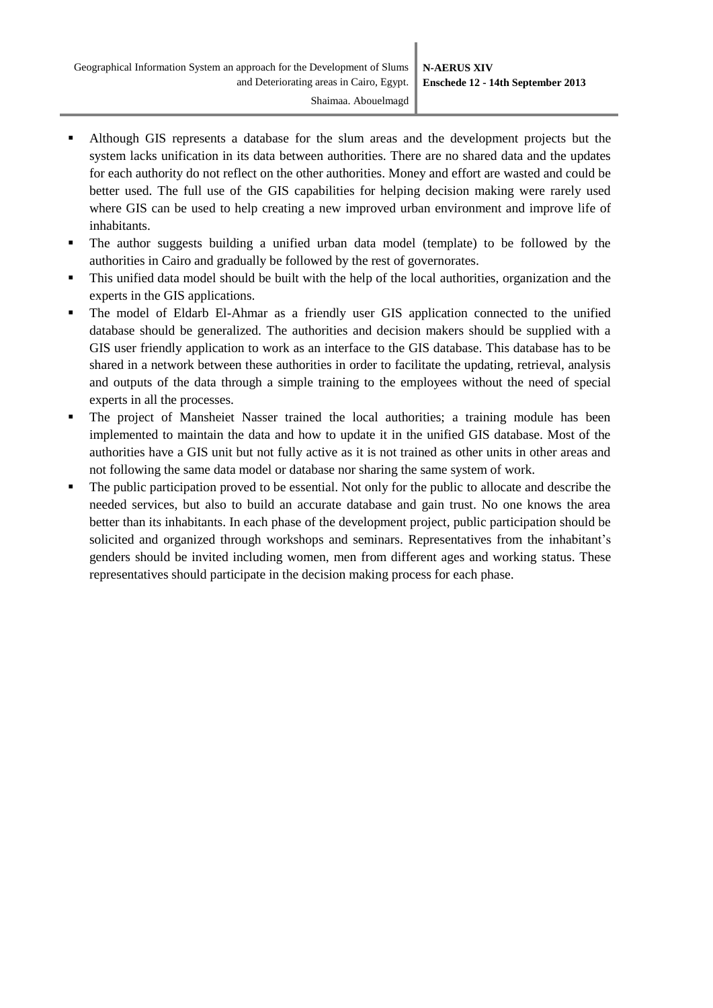- Although GIS represents a database for the slum areas and the development projects but the system lacks unification in its data between authorities. There are no shared data and the updates for each authority do not reflect on the other authorities. Money and effort are wasted and could be better used. The full use of the GIS capabilities for helping decision making were rarely used where GIS can be used to help creating a new improved urban environment and improve life of inhabitants.
- The author suggests building a unified urban data model (template) to be followed by the authorities in Cairo and gradually be followed by the rest of governorates.
- This unified data model should be built with the help of the local authorities, organization and the experts in the GIS applications.
- The model of Eldarb El-Ahmar as a friendly user GIS application connected to the unified database should be generalized. The authorities and decision makers should be supplied with a GIS user friendly application to work as an interface to the GIS database. This database has to be shared in a network between these authorities in order to facilitate the updating, retrieval, analysis and outputs of the data through a simple training to the employees without the need of special experts in all the processes.
- The project of Mansheiet Nasser trained the local authorities; a training module has been implemented to maintain the data and how to update it in the unified GIS database. Most of the authorities have a GIS unit but not fully active as it is not trained as other units in other areas and not following the same data model or database nor sharing the same system of work.
- The public participation proved to be essential. Not only for the public to allocate and describe the needed services, but also to build an accurate database and gain trust. No one knows the area better than its inhabitants. In each phase of the development project, public participation should be solicited and organized through workshops and seminars. Representatives from the inhabitant's genders should be invited including women, men from different ages and working status. These representatives should participate in the decision making process for each phase.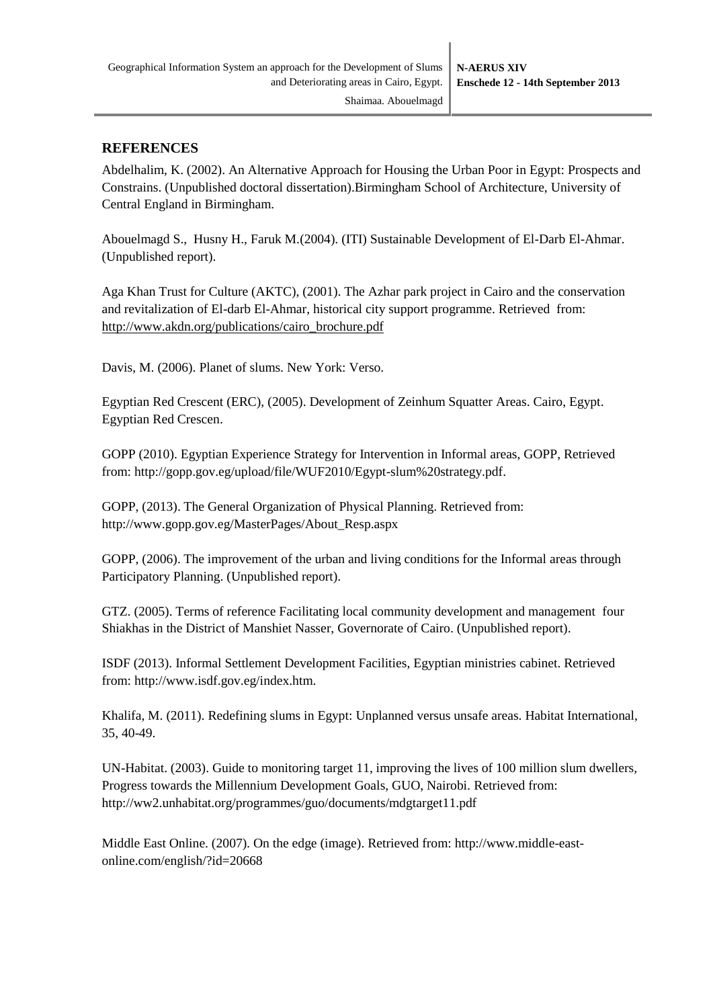#### **REFERENCES**

Abdelhalim, K. (2002). An Alternative Approach for Housing the Urban Poor in Egypt: Prospects and Constrains. (Unpublished doctoral dissertation).Birmingham School of Architecture, University of Central England in Birmingham.

Abouelmagd S., Husny H., Faruk M.(2004). (ITI) Sustainable Development of El-Darb El-Ahmar. (Unpublished report).

Aga Khan Trust for Culture (AKTC), (2001). The Azhar park project in Cairo and the conservation and revitalization of El-darb El-Ahmar, historical city support programme. Retrieved from: [http://www.akdn.org/publications/cairo\\_brochure.pdf](http://www.akdn.org/publications/cairo_brochure.pdf)

Davis, M. (2006). Planet of slums. New York: Verso.

Egyptian Red Crescent (ERC), (2005). Development of Zeinhum Squatter Areas. Cairo, Egypt. Egyptian Red Crescen.

GOPP (2010). Egyptian Experience Strategy for Intervention in Informal areas, GOPP, Retrieved from: [http://gopp.gov.eg/upload/file/WUF2010/Egypt-slum%20strategy.pdf.](http://gopp.gov.eg/upload/file/WUF2010/Egypt-slum%20strategy.pdf)

GOPP, (2013). The General Organization of Physical Planning. Retrieved from: [http://www.gopp.gov.eg/MasterPages/About\\_Resp.aspx](http://www.gopp.gov.eg/MasterPages/About_Resp.aspx)

GOPP, (2006). The improvement of the urban and living conditions for the Informal areas through Participatory Planning. (Unpublished report).

GTZ. (2005). Terms of reference Facilitating local community development and management four Shiakhas in the District of Manshiet Nasser, Governorate of Cairo. (Unpublished report).

ISDF (2013). Informal Settlement Development Facilities, Egyptian ministries cabinet. Retrieved from: [http://www.isdf.gov.eg/index.htm.](http://www.isdf.gov.eg/index.htm)

Khalifa, M. (2011). Redefining slums in Egypt: Unplanned versus unsafe areas. Habitat International, 35, 40-49.

UN-Habitat. (2003). Guide to monitoring target 11, improving the lives of 100 million slum dwellers, Progress towards the Millennium Development Goals, GUO, Nairobi. Retrieved from: <http://ww2.unhabitat.org/programmes/guo/documents/mdgtarget11.pdf>

Middle East Online. (2007). On the edge (image). Retrieved from: [http://www.middle-east](http://www.middle-east-online.com/english/?id=20668)[online.com/english/?id=20668](http://www.middle-east-online.com/english/?id=20668)